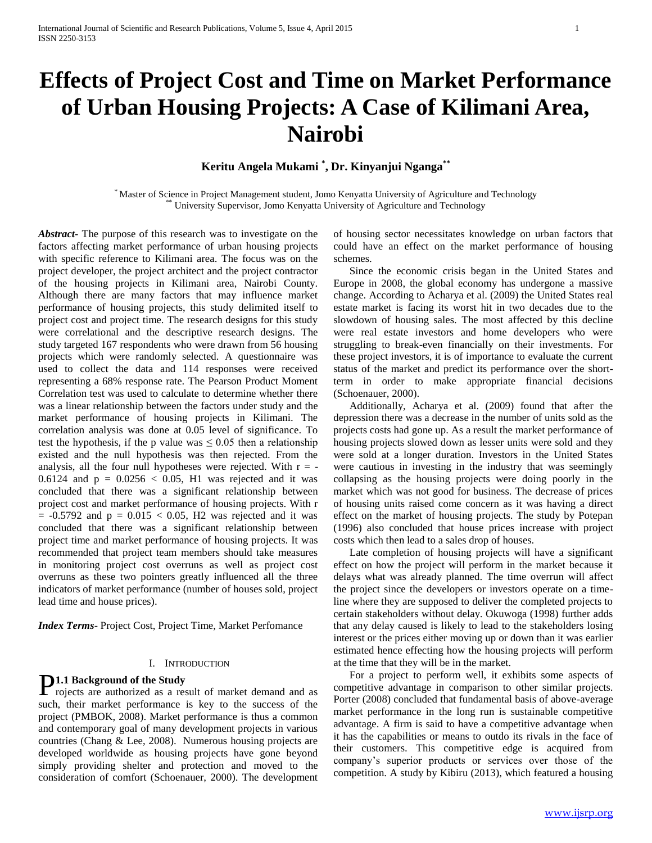# **Effects of Project Cost and Time on Market Performance of Urban Housing Projects: A Case of Kilimani Area, Nairobi**

**Keritu Angela Mukami \* , Dr. Kinyanjui Nganga\*\***

\* Master of Science in Project Management student, Jomo Kenyatta University of Agriculture and Technology University Supervisor, Jomo Kenyatta University of Agriculture and Technology

*Abstract***-** The purpose of this research was to investigate on the factors affecting market performance of urban housing projects with specific reference to Kilimani area. The focus was on the project developer, the project architect and the project contractor of the housing projects in Kilimani area, Nairobi County. Although there are many factors that may influence market performance of housing projects, this study delimited itself to project cost and project time. The research designs for this study were correlational and the descriptive research designs. The study targeted 167 respondents who were drawn from 56 housing projects which were randomly selected. A questionnaire was used to collect the data and 114 responses were received representing a 68% response rate. The Pearson Product Moment Correlation test was used to calculate to determine whether there was a linear relationship between the factors under study and the market performance of housing projects in Kilimani. The correlation analysis was done at 0.05 level of significance. To test the hypothesis, if the p value was  $\leq 0.05$  then a relationship existed and the null hypothesis was then rejected. From the analysis, all the four null hypotheses were rejected. With  $r = -$ 0.6124 and  $p = 0.0256 < 0.05$ , H1 was rejected and it was concluded that there was a significant relationship between project cost and market performance of housing projects. With r  $= -0.5792$  and  $p = 0.015 < 0.05$ , H2 was rejected and it was concluded that there was a significant relationship between project time and market performance of housing projects. It was recommended that project team members should take measures in monitoring project cost overruns as well as project cost overruns as these two pointers greatly influenced all the three indicators of market performance (number of houses sold, project lead time and house prices).

*Index Terms*- Project Cost, Project Time, Market Perfomance

#### I. INTRODUCTION

## **1.1 Background of the Study**

**P1.1 Background of the Study**<br>rojects are authorized as a result of market demand and as such, their market performance is key to the success of the project (PMBOK, 2008). Market performance is thus a common and contemporary goal of many development projects in various countries (Chang & Lee, 2008). Numerous housing projects are developed worldwide as housing projects have gone beyond simply providing shelter and protection and moved to the consideration of comfort (Schoenauer, 2000). The development

of housing sector necessitates knowledge on urban factors that could have an effect on the market performance of housing schemes.

 Since the economic crisis began in the United States and Europe in 2008, the global economy has undergone a massive change. According to Acharya et al. (2009) the United States real estate market is facing its worst hit in two decades due to the slowdown of housing sales. The most affected by this decline were real estate investors and home developers who were struggling to break-even financially on their investments. For these project investors, it is of importance to evaluate the current status of the market and predict its performance over the shortterm in order to make appropriate financial decisions (Schoenauer, 2000).

 Additionally, Acharya et al. (2009) found that after the depression there was a decrease in the number of units sold as the projects costs had gone up. As a result the market performance of housing projects slowed down as lesser units were sold and they were sold at a longer duration. Investors in the United States were cautious in investing in the industry that was seemingly collapsing as the housing projects were doing poorly in the market which was not good for business. The decrease of prices of housing units raised come concern as it was having a direct effect on the market of housing projects. The study by Potepan (1996) also concluded that house prices increase with project costs which then lead to a sales drop of houses.

 Late completion of housing projects will have a significant effect on how the project will perform in the market because it delays what was already planned. The time overrun will affect the project since the developers or investors operate on a timeline where they are supposed to deliver the completed projects to certain stakeholders without delay. Okuwoga (1998) further adds that any delay caused is likely to lead to the stakeholders losing interest or the prices either moving up or down than it was earlier estimated hence effecting how the housing projects will perform at the time that they will be in the market.

 For a project to perform well, it exhibits some aspects of competitive advantage in comparison to other similar projects. Porter (2008) concluded that fundamental basis of above-average market performance in the long run is sustainable competitive advantage. A firm is said to have a competitive advantage when it has the capabilities or means to outdo its rivals in the face of their customers. This competitive edge is acquired from company's superior products or services over those of the competition. A study by Kibiru (2013), which featured a housing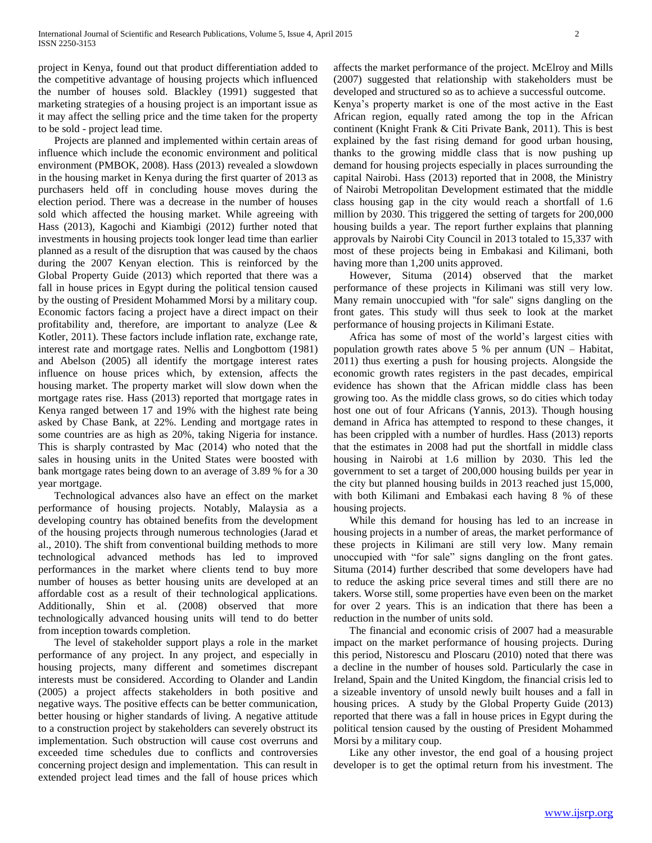project in Kenya, found out that product differentiation added to the competitive advantage of housing projects which influenced the number of houses sold. Blackley (1991) suggested that marketing strategies of a housing project is an important issue as it may affect the selling price and the time taken for the property to be sold - project lead time.

 Projects are planned and implemented within certain areas of influence which include the economic environment and political environment (PMBOK, 2008). Hass (2013) revealed a slowdown in the housing market in Kenya during the first quarter of 2013 as purchasers held off in concluding house moves during the election period. There was a decrease in the number of houses sold which affected the housing market. While agreeing with Hass (2013), Kagochi and Kiambigi (2012) further noted that investments in housing projects took longer lead time than earlier planned as a result of the disruption that was caused by the chaos during the 2007 Kenyan election. This is reinforced by the Global Property Guide (2013) which reported that there was a fall in house prices in Egypt during the political tension caused by the ousting of President Mohammed Morsi by a military coup. Economic factors facing a project have a direct impact on their profitability and, therefore, are important to analyze (Lee & Kotler, 2011). These factors include inflation rate, exchange rate, interest rate and mortgage rates. Nellis and Longbottom (1981) and Abelson (2005) all identify the mortgage interest rates influence on house prices which, by extension, affects the housing market. The property market will slow down when the mortgage rates rise. Hass (2013) reported that mortgage rates in Kenya ranged between 17 and 19% with the highest rate being asked by Chase Bank, at 22%. Lending and mortgage rates in some countries are as high as 20%, taking Nigeria for instance. This is sharply contrasted by Mac (2014) who noted that the sales in housing units in the United States were boosted with bank mortgage rates being down to an average of 3.89 % for a 30 year mortgage.

 Technological advances also have an effect on the market performance of housing projects. Notably, Malaysia as a developing country has obtained benefits from the development of the housing projects through numerous technologies (Jarad et al., 2010). The shift from conventional building methods to more technological advanced methods has led to improved performances in the market where clients tend to buy more number of houses as better housing units are developed at an affordable cost as a result of their technological applications. Additionally, Shin et al. (2008) observed that more technologically advanced housing units will tend to do better from inception towards completion.

 The level of stakeholder support plays a role in the market performance of any project. In any project, and especially in housing projects, many different and sometimes discrepant interests must be considered. According to Olander and Landin (2005) a project affects stakeholders in both positive and negative ways. The positive effects can be better communication, better housing or higher standards of living. A negative attitude to a construction project by stakeholders can severely obstruct its implementation. Such obstruction will cause cost overruns and exceeded time schedules due to conflicts and controversies concerning project design and implementation. This can result in extended project lead times and the fall of house prices which affects the market performance of the project. McElroy and Mills (2007) suggested that relationship with stakeholders must be developed and structured so as to achieve a successful outcome.

Kenya's property market is one of the most active in the East African region, equally rated among the top in the African continent (Knight Frank & Citi Private Bank, 2011). This is best explained by the fast rising demand for good urban housing, thanks to the growing middle class that is now pushing up demand for housing projects especially in places surrounding the capital Nairobi. Hass (2013) reported that in 2008, the Ministry of Nairobi Metropolitan Development estimated that the middle class housing gap in the city would reach a shortfall of 1.6 million by 2030. This triggered the setting of targets for 200,000 housing builds a year. The report further explains that planning approvals by Nairobi City Council in 2013 totaled to 15,337 with most of these projects being in Embakasi and Kilimani, both having more than 1,200 units approved.

 However, Situma (2014) observed that the market performance of these projects in Kilimani was still very low. Many remain unoccupied with ''for sale'' signs dangling on the front gates. This study will thus seek to look at the market performance of housing projects in Kilimani Estate.

 Africa has some of most of the world's largest cities with population growth rates above 5 % per annum (UN – Habitat, 2011) thus exerting a push for housing projects. Alongside the economic growth rates registers in the past decades, empirical evidence has shown that the African middle class has been growing too. As the middle class grows, so do cities which today host one out of four Africans (Yannis, 2013). Though housing demand in Africa has attempted to respond to these changes, it has been crippled with a number of hurdles. Hass (2013) reports that the estimates in 2008 had put the shortfall in middle class housing in Nairobi at 1.6 million by 2030. This led the government to set a target of 200,000 housing builds per year in the city but planned housing builds in 2013 reached just 15,000, with both Kilimani and Embakasi each having 8 % of these housing projects.

 While this demand for housing has led to an increase in housing projects in a number of areas, the market performance of these projects in Kilimani are still very low. Many remain unoccupied with "for sale" signs dangling on the front gates. Situma (2014) further described that some developers have had to reduce the asking price several times and still there are no takers. Worse still, some properties have even been on the market for over 2 years. This is an indication that there has been a reduction in the number of units sold.

 The financial and economic crisis of 2007 had a measurable impact on the market performance of housing projects. During this period, Nistorescu and Ploscaru (2010) noted that there was a decline in the number of houses sold. Particularly the case in Ireland, Spain and the United Kingdom, the financial crisis led to a sizeable inventory of unsold newly built houses and a fall in housing prices. A study by the Global Property Guide (2013) reported that there was a fall in house prices in Egypt during the political tension caused by the ousting of President Mohammed Morsi by a military coup.

 Like any other investor, the end goal of a housing project developer is to get the optimal return from his investment. The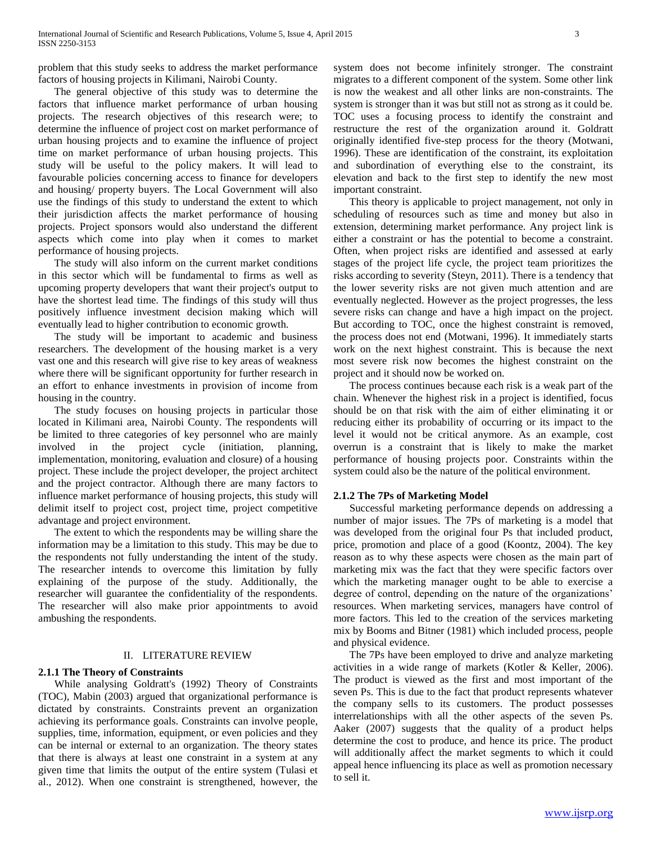problem that this study seeks to address the market performance factors of housing projects in Kilimani, Nairobi County.

 The general objective of this study was to determine the factors that influence market performance of urban housing projects. The research objectives of this research were; to determine the influence of project cost on market performance of urban housing projects and to examine the influence of project time on market performance of urban housing projects. This study will be useful to the policy makers. It will lead to favourable policies concerning access to finance for developers and housing/ property buyers. The Local Government will also use the findings of this study to understand the extent to which their jurisdiction affects the market performance of housing projects. Project sponsors would also understand the different aspects which come into play when it comes to market performance of housing projects.

 The study will also inform on the current market conditions in this sector which will be fundamental to firms as well as upcoming property developers that want their project's output to have the shortest lead time. The findings of this study will thus positively influence investment decision making which will eventually lead to higher contribution to economic growth.

 The study will be important to academic and business researchers. The development of the housing market is a very vast one and this research will give rise to key areas of weakness where there will be significant opportunity for further research in an effort to enhance investments in provision of income from housing in the country.

 The study focuses on housing projects in particular those located in Kilimani area, Nairobi County. The respondents will be limited to three categories of key personnel who are mainly involved in the project cycle (initiation, planning, implementation, monitoring, evaluation and closure) of a housing project. These include the project developer, the project architect and the project contractor. Although there are many factors to influence market performance of housing projects, this study will delimit itself to project cost, project time, project competitive advantage and project environment.

 The extent to which the respondents may be willing share the information may be a limitation to this study. This may be due to the respondents not fully understanding the intent of the study. The researcher intends to overcome this limitation by fully explaining of the purpose of the study. Additionally, the researcher will guarantee the confidentiality of the respondents. The researcher will also make prior appointments to avoid ambushing the respondents.

#### II. LITERATURE REVIEW

#### **2.1.1 The Theory of Constraints**

 While analysing Goldratt's (1992) Theory of Constraints (TOC), Mabin (2003) argued that organizational performance is dictated by constraints. Constraints prevent an organization achieving its performance goals. Constraints can involve people, supplies, time, information, equipment, or even policies and they can be internal or external to an organization. The theory states that there is always at least one constraint in a system at any given time that limits the output of the entire system (Tulasi et al., 2012). When one constraint is strengthened, however, the system does not become infinitely stronger. The constraint migrates to a different component of the system. Some other link is now the weakest and all other links are non-constraints. The system is stronger than it was but still not as strong as it could be. TOC uses a focusing process to identify the constraint and restructure the rest of the organization around it. Goldratt originally identified five-step process for the theory (Motwani, 1996). These are identification of the constraint, its exploitation and subordination of everything else to the constraint, its elevation and back to the first step to identify the new most important constraint.

 This theory is applicable to project management, not only in scheduling of resources such as time and money but also in extension, determining market performance. Any project link is either a constraint or has the potential to become a constraint. Often, when project risks are identified and assessed at early stages of the project life cycle, the project team prioritizes the risks according to severity (Steyn, 2011). There is a tendency that the lower severity risks are not given much attention and are eventually neglected. However as the project progresses, the less severe risks can change and have a high impact on the project. But according to TOC, once the highest constraint is removed, the process does not end (Motwani, 1996). It immediately starts work on the next highest constraint. This is because the next most severe risk now becomes the highest constraint on the project and it should now be worked on.

 The process continues because each risk is a weak part of the chain. Whenever the highest risk in a project is identified, focus should be on that risk with the aim of either eliminating it or reducing either its probability of occurring or its impact to the level it would not be critical anymore. As an example, cost overrun is a constraint that is likely to make the market performance of housing projects poor*.* Constraints within the system could also be the nature of the political environment.

#### **2.1.2 The 7Ps of Marketing Model**

 Successful marketing performance depends on addressing a number of major issues. The 7Ps of marketing is a model that was developed from the original four Ps that included product, price, promotion and place of a good (Koontz, 2004). The key reason as to why these aspects were chosen as the main part of marketing mix was the fact that they were specific factors over which the marketing manager ought to be able to exercise a degree of control, depending on the nature of the organizations' resources. When marketing services, managers have control of more factors. This led to the creation of the services marketing mix by Booms and Bitner (1981) which included process, people and physical evidence.

 The 7Ps have been employed to drive and analyze marketing activities in a wide range of markets (Kotler & Keller, 2006). The product is viewed as the first and most important of the seven Ps. This is due to the fact that product represents whatever the company sells to its customers. The product possesses interrelationships with all the other aspects of the seven Ps. Aaker (2007) suggests that the quality of a product helps determine the cost to produce, and hence its price. The product will additionally affect the market segments to which it could appeal hence influencing its place as well as promotion necessary to sell it.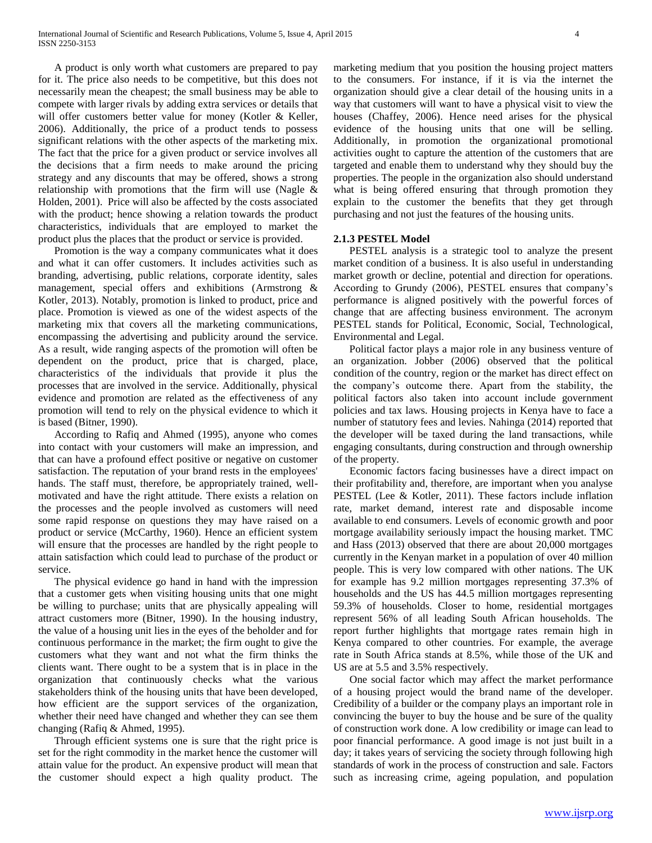A product is only worth what customers are prepared to pay for it. The price also needs to be competitive, but this does not necessarily mean the cheapest; the small business may be able to compete with larger rivals by adding extra services or details that will offer customers better value for money (Kotler & Keller, 2006). Additionally, the price of a product tends to possess significant relations with the other aspects of the marketing mix. The fact that the price for a given product or service involves all the decisions that a firm needs to make around the pricing strategy and any discounts that may be offered, shows a strong relationship with promotions that the firm will use (Nagle & Holden, 2001). Price will also be affected by the costs associated with the product; hence showing a relation towards the product characteristics, individuals that are employed to market the product plus the places that the product or service is provided.

 Promotion is the way a company communicates what it does and what it can offer customers. It includes activities such as branding, advertising, public relations, corporate identity, sales management, special offers and exhibitions (Armstrong & Kotler, 2013). Notably, promotion is linked to product, price and place. Promotion is viewed as one of the widest aspects of the marketing mix that covers all the marketing communications, encompassing the advertising and publicity around the service. As a result, wide ranging aspects of the promotion will often be dependent on the product, price that is charged, place, characteristics of the individuals that provide it plus the processes that are involved in the service. Additionally, physical evidence and promotion are related as the effectiveness of any promotion will tend to rely on the physical evidence to which it is based (Bitner, 1990).

 According to Rafiq and Ahmed (1995), anyone who comes into contact with your customers will make an impression, and that can have a profound effect positive or negative on customer satisfaction. The reputation of your brand rests in the employees' hands. The staff must, therefore, be appropriately trained, wellmotivated and have the right attitude. There exists a relation on the processes and the people involved as customers will need some rapid response on questions they may have raised on a product or service (McCarthy, 1960). Hence an efficient system will ensure that the processes are handled by the right people to attain satisfaction which could lead to purchase of the product or service.

 The physical evidence go hand in hand with the impression that a customer gets when visiting housing units that one might be willing to purchase; units that are physically appealing will attract customers more (Bitner, 1990). In the housing industry, the value of a housing unit lies in the eyes of the beholder and for continuous performance in the market; the firm ought to give the customers what they want and not what the firm thinks the clients want. There ought to be a system that is in place in the organization that continuously checks what the various stakeholders think of the housing units that have been developed, how efficient are the support services of the organization, whether their need have changed and whether they can see them changing (Rafiq & Ahmed, 1995).

 Through efficient systems one is sure that the right price is set for the right commodity in the market hence the customer will attain value for the product. An expensive product will mean that the customer should expect a high quality product. The

marketing medium that you position the housing project matters to the consumers. For instance, if it is via the internet the organization should give a clear detail of the housing units in a way that customers will want to have a physical visit to view the houses (Chaffey, 2006). Hence need arises for the physical evidence of the housing units that one will be selling. Additionally, in promotion the organizational promotional activities ought to capture the attention of the customers that are targeted and enable them to understand why they should buy the properties. The people in the organization also should understand what is being offered ensuring that through promotion they explain to the customer the benefits that they get through purchasing and not just the features of the housing units.

#### **2.1.3 PESTEL Model**

 PESTEL analysis is a strategic tool to analyze the present market condition of a business. It is also useful in understanding market growth or decline, potential and direction for operations. According to Grundy (2006), PESTEL ensures that company's performance is aligned positively with the powerful forces of change that are affecting business environment. The acronym PESTEL stands for Political, Economic, Social, Technological, Environmental and Legal.

 Political factor plays a major role in any business venture of an organization. Jobber (2006) observed that the political condition of the country, region or the market has direct effect on the company's outcome there. Apart from the stability, the political factors also taken into account include government policies and tax laws. Housing projects in Kenya have to face a number of statutory fees and levies. Nahinga (2014) reported that the developer will be taxed during the land transactions, while engaging consultants, during construction and through ownership of the property.

 Economic factors facing businesses have a direct impact on their profitability and, therefore, are important when you analyse PESTEL (Lee & Kotler, 2011). These factors include inflation rate, market demand, interest rate and disposable income available to end consumers. Levels of economic growth and poor mortgage availability seriously impact the housing market. TMC and Hass (2013) observed that there are about 20,000 mortgages currently in the Kenyan market in a population of over 40 million people. This is very low compared with other nations. The UK for example has 9.2 million mortgages representing 37.3% of households and the US has 44.5 million mortgages representing 59.3% of households. Closer to home, residential mortgages represent 56% of all leading South African households. The report further highlights that mortgage rates remain high in Kenya compared to other countries. For example, the average rate in South Africa stands at 8.5%, while those of the UK and US are at 5.5 and 3.5% respectively.

 One social factor which may affect the market performance of a housing project would the brand name of the developer. Credibility of a builder or the company plays an important role in convincing the buyer to buy the house and be sure of the quality of construction work done. A low credibility or image can lead to poor financial performance. A good image is not just built in a day; it takes years of servicing the society through following high standards of work in the process of construction and sale. Factors such as increasing crime, ageing population, and population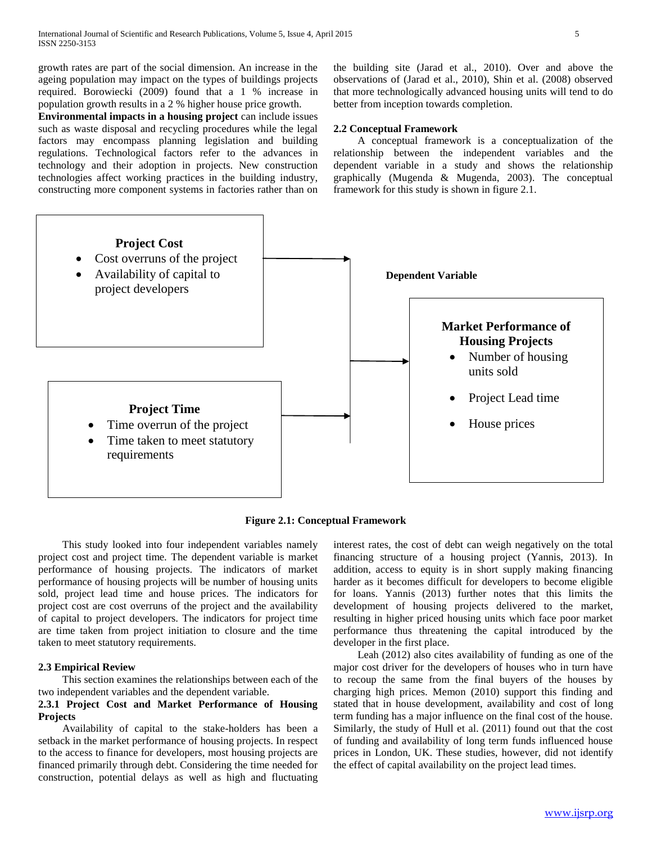growth rates are part of the social dimension. An increase in the ageing population may impact on the types of buildings projects required. Borowiecki (2009) found that a 1 % increase in population growth results in a 2 % higher house price growth.

**Environmental impacts in a housing project** can include issues such as waste disposal and recycling procedures while the legal factors may encompass planning legislation and building regulations. Technological factors refer to the advances in technology and their adoption in projects. New construction technologies affect working practices in the building industry, constructing more component systems in factories rather than on the building site (Jarad et al., 2010). Over and above the observations of (Jarad et al., 2010), Shin et al. (2008) observed that more technologically advanced housing units will tend to do better from inception towards completion.

#### **2.2 Conceptual Framework**

 A conceptual framework is a conceptualization of the relationship between the independent variables and the dependent variable in a study and shows the relationship graphically (Mugenda & Mugenda, 2003). The conceptual framework for this study is shown in figure 2.1.



#### **Figure 2.1: Conceptual Framework**

 This study looked into four independent variables namely project cost and project time. The dependent variable is market performance of housing projects. The indicators of market performance of housing projects will be number of housing units sold, project lead time and house prices. The indicators for project cost are cost overruns of the project and the availability of capital to project developers. The indicators for project time are time taken from project initiation to closure and the time taken to meet statutory requirements.

#### **2.3 Empirical Review**

 This section examines the relationships between each of the two independent variables and the dependent variable.

## **2.3.1 Project Cost and Market Performance of Housing Projects**

 Availability of capital to the stake-holders has been a setback in the market performance of housing projects. In respect to the access to finance for developers, most housing projects are financed primarily through debt. Considering the time needed for construction, potential delays as well as high and fluctuating

interest rates, the cost of debt can weigh negatively on the total financing structure of a housing project (Yannis, 2013). In addition, access to equity is in short supply making financing harder as it becomes difficult for developers to become eligible for loans. Yannis (2013) further notes that this limits the development of housing projects delivered to the market, resulting in higher priced housing units which face poor market performance thus threatening the capital introduced by the developer in the first place.

 Leah (2012) also cites availability of funding as one of the major cost driver for the developers of houses who in turn have to recoup the same from the final buyers of the houses by charging high prices. Memon (2010) support this finding and stated that in house development, availability and cost of long term funding has a major influence on the final cost of the house. Similarly, the study of Hull et al. (2011) found out that the cost of funding and availability of long term funds influenced house prices in London, UK. These studies, however, did not identify the effect of capital availability on the project lead times.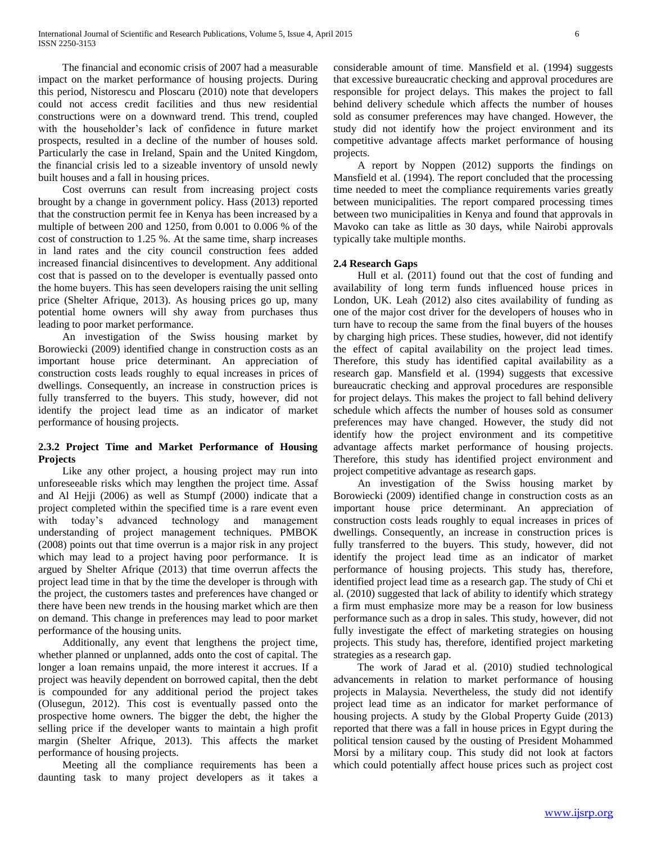The financial and economic crisis of 2007 had a measurable impact on the market performance of housing projects. During this period, Nistorescu and Ploscaru (2010) note that developers could not access credit facilities and thus new residential constructions were on a downward trend. This trend, coupled with the householder's lack of confidence in future market prospects, resulted in a decline of the number of houses sold. Particularly the case in Ireland, Spain and the United Kingdom, the financial crisis led to a sizeable inventory of unsold newly built houses and a fall in housing prices.

 Cost overruns can result from increasing project costs brought by a change in government policy. Hass (2013) reported that the construction permit fee in Kenya has been increased by a multiple of between 200 and 1250, from 0.001 to 0.006 % of the cost of construction to 1.25 %. At the same time, sharp increases in land rates and the city council construction fees added increased financial disincentives to development. Any additional cost that is passed on to the developer is eventually passed onto the home buyers. This has seen developers raising the unit selling price (Shelter Afrique, 2013). As housing prices go up, many potential home owners will shy away from purchases thus leading to poor market performance.

 An investigation of the Swiss housing market by Borowiecki (2009) identified change in construction costs as an important house price determinant. An appreciation of construction costs leads roughly to equal increases in prices of dwellings. Consequently, an increase in construction prices is fully transferred to the buyers. This study, however, did not identify the project lead time as an indicator of market performance of housing projects.

# **2.3.2 Project Time and Market Performance of Housing Projects**

 Like any other project, a housing project may run into unforeseeable risks which may lengthen the project time. Assaf and Al Hejji (2006) as well as Stumpf (2000) indicate that a project completed within the specified time is a rare event even with today's advanced technology and management understanding of project management techniques. PMBOK (2008) points out that time overrun is a major risk in any project which may lead to a project having poor performance. It is argued by Shelter Afrique (2013) that time overrun affects the project lead time in that by the time the developer is through with the project, the customers tastes and preferences have changed or there have been new trends in the housing market which are then on demand. This change in preferences may lead to poor market performance of the housing units.

 Additionally, any event that lengthens the project time, whether planned or unplanned, adds onto the cost of capital. The longer a loan remains unpaid, the more interest it accrues. If a project was heavily dependent on borrowed capital, then the debt is compounded for any additional period the project takes (Olusegun, 2012). This cost is eventually passed onto the prospective home owners. The bigger the debt, the higher the selling price if the developer wants to maintain a high profit margin (Shelter Afrique, 2013). This affects the market performance of housing projects.

 Meeting all the compliance requirements has been a daunting task to many project developers as it takes a

considerable amount of time. Mansfield et al. (1994) suggests that excessive bureaucratic checking and approval procedures are responsible for project delays. This makes the project to fall behind delivery schedule which affects the number of houses sold as consumer preferences may have changed. However, the study did not identify how the project environment and its competitive advantage affects market performance of housing projects.

 A report by Noppen (2012) supports the findings on Mansfield et al. (1994). The report concluded that the processing time needed to meet the compliance requirements varies greatly between municipalities. The report compared processing times between two municipalities in Kenya and found that approvals in Mavoko can take as little as 30 days, while Nairobi approvals typically take multiple months.

## **2.4 Research Gaps**

 Hull et al. (2011) found out that the cost of funding and availability of long term funds influenced house prices in London, UK. Leah (2012) also cites availability of funding as one of the major cost driver for the developers of houses who in turn have to recoup the same from the final buyers of the houses by charging high prices. These studies, however, did not identify the effect of capital availability on the project lead times. Therefore, this study has identified capital availability as a research gap. Mansfield et al. (1994) suggests that excessive bureaucratic checking and approval procedures are responsible for project delays. This makes the project to fall behind delivery schedule which affects the number of houses sold as consumer preferences may have changed. However, the study did not identify how the project environment and its competitive advantage affects market performance of housing projects. Therefore, this study has identified project environment and project competitive advantage as research gaps.

 An investigation of the Swiss housing market by Borowiecki (2009) identified change in construction costs as an important house price determinant. An appreciation of construction costs leads roughly to equal increases in prices of dwellings. Consequently, an increase in construction prices is fully transferred to the buyers. This study, however, did not identify the project lead time as an indicator of market performance of housing projects. This study has, therefore, identified project lead time as a research gap. The study of Chi et al. (2010) suggested that lack of ability to identify which strategy a firm must emphasize more may be a reason for low business performance such as a drop in sales. This study, however, did not fully investigate the effect of marketing strategies on housing projects. This study has, therefore, identified project marketing strategies as a research gap.

 The work of Jarad et al. (2010) studied technological advancements in relation to market performance of housing projects in Malaysia. Nevertheless, the study did not identify project lead time as an indicator for market performance of housing projects. A study by the Global Property Guide (2013) reported that there was a fall in house prices in Egypt during the political tension caused by the ousting of President Mohammed Morsi by a military coup. This study did not look at factors which could potentially affect house prices such as project cost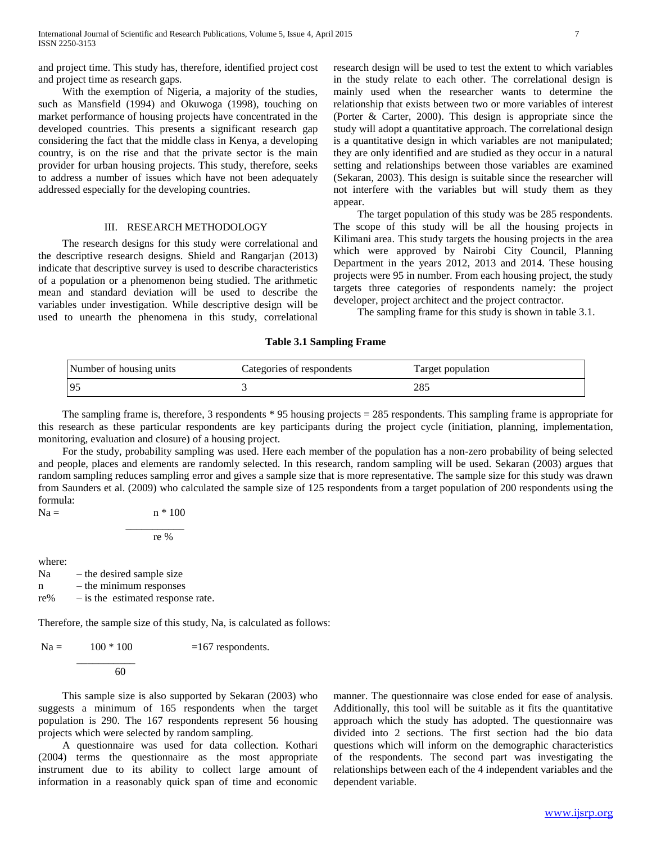and project time. This study has, therefore, identified project cost and project time as research gaps.

 With the exemption of Nigeria, a majority of the studies, such as Mansfield (1994) and Okuwoga (1998), touching on market performance of housing projects have concentrated in the developed countries. This presents a significant research gap considering the fact that the middle class in Kenya, a developing country, is on the rise and that the private sector is the main provider for urban housing projects. This study, therefore, seeks to address a number of issues which have not been adequately addressed especially for the developing countries.

#### III. RESEARCH METHODOLOGY

 The research designs for this study were correlational and the descriptive research designs. Shield and Rangarjan (2013) indicate that descriptive survey is used to describe characteristics of a population or a phenomenon being studied. The arithmetic mean and standard deviation will be used to describe the variables under investigation. While descriptive design will be used to unearth the phenomena in this study, correlational research design will be used to test the extent to which variables in the study relate to each other. The correlational design is mainly used when the researcher wants to determine the relationship that exists between two or more variables of interest (Porter & Carter, 2000). This design is appropriate since the study will adopt a quantitative approach. The correlational design is a quantitative design in which variables are not manipulated; they are only identified and are studied as they occur in a natural setting and relationships between those variables are examined (Sekaran, 2003). This design is suitable since the researcher will not interfere with the variables but will study them as they appear.

 The target population of this study was be 285 respondents. The scope of this study will be all the housing projects in Kilimani area. This study targets the housing projects in the area which were approved by Nairobi City Council, Planning Department in the years 2012, 2013 and 2014. These housing projects were 95 in number. From each housing project, the study targets three categories of respondents namely: the project developer, project architect and the project contractor.

The sampling frame for this study is shown in table 3.1.

#### **Table 3.1 Sampling Frame**

| Number of housing units | Categories of respondents | Target population |
|-------------------------|---------------------------|-------------------|
| -95                     |                           |                   |

 The sampling frame is, therefore, 3 respondents \* 95 housing projects = 285 respondents. This sampling frame is appropriate for this research as these particular respondents are key participants during the project cycle (initiation, planning, implementation, monitoring, evaluation and closure) of a housing project.

 For the study, probability sampling was used. Here each member of the population has a non-zero probability of being selected and people, places and elements are randomly selected. In this research, random sampling will be used. Sekaran (2003) argues that random sampling reduces sampling error and gives a sample size that is more representative. The sample size for this study was drawn from Saunders et al. (2009) who calculated the sample size of 125 respondents from a target population of 200 respondents using the formula:

 $Na =$  n \* 100  $\overline{\phantom{a}}$ re %

where:

 $Na$  – the desired sample size n – the minimum responses re% – is the estimated response rate.

Therefore, the sample size of this study, Na, is calculated as follows:

 $Na = 100 * 100$  = 167 respondents. \_\_\_\_\_\_\_\_\_\_\_ 60

 This sample size is also supported by Sekaran (2003) who suggests a minimum of 165 respondents when the target population is 290. The 167 respondents represent 56 housing projects which were selected by random sampling.

 A questionnaire was used for data collection. Kothari (2004) terms the questionnaire as the most appropriate instrument due to its ability to collect large amount of information in a reasonably quick span of time and economic

manner. The questionnaire was close ended for ease of analysis. Additionally, this tool will be suitable as it fits the quantitative approach which the study has adopted. The questionnaire was divided into 2 sections. The first section had the bio data questions which will inform on the demographic characteristics of the respondents. The second part was investigating the relationships between each of the 4 independent variables and the dependent variable.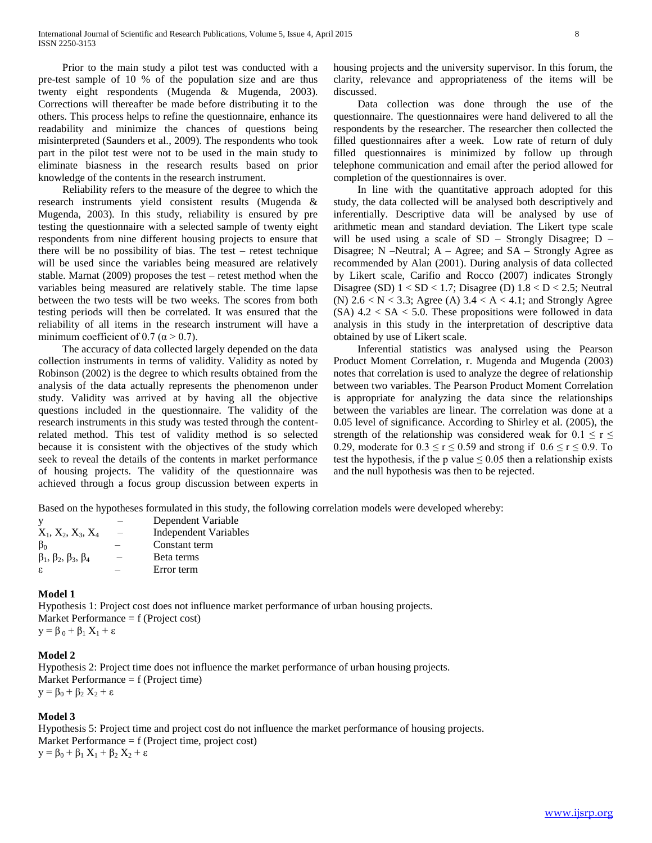Prior to the main study a pilot test was conducted with a pre-test sample of 10 % of the population size and are thus twenty eight respondents (Mugenda & Mugenda, 2003). Corrections will thereafter be made before distributing it to the others. This process helps to refine the questionnaire, enhance its readability and minimize the chances of questions being misinterpreted (Saunders et al., 2009). The respondents who took part in the pilot test were not to be used in the main study to eliminate biasness in the research results based on prior knowledge of the contents in the research instrument.

 Reliability refers to the measure of the degree to which the research instruments yield consistent results (Mugenda & Mugenda, 2003). In this study, reliability is ensured by pre testing the questionnaire with a selected sample of twenty eight respondents from nine different housing projects to ensure that there will be no possibility of bias. The test – retest technique will be used since the variables being measured are relatively stable. Marnat (2009) proposes the test – retest method when the variables being measured are relatively stable. The time lapse between the two tests will be two weeks. The scores from both testing periods will then be correlated. It was ensured that the reliability of all items in the research instrument will have a minimum coefficient of 0.7 ( $\alpha$  > 0.7).

 The accuracy of data collected largely depended on the data collection instruments in terms of validity. Validity as noted by Robinson (2002) is the degree to which results obtained from the analysis of the data actually represents the phenomenon under study. Validity was arrived at by having all the objective questions included in the questionnaire. The validity of the research instruments in this study was tested through the contentrelated method. This test of validity method is so selected because it is consistent with the objectives of the study which seek to reveal the details of the contents in market performance of housing projects. The validity of the questionnaire was achieved through a focus group discussion between experts in

housing projects and the university supervisor. In this forum, the clarity, relevance and appropriateness of the items will be discussed.

 Data collection was done through the use of the questionnaire. The questionnaires were hand delivered to all the respondents by the researcher. The researcher then collected the filled questionnaires after a week. Low rate of return of duly filled questionnaires is minimized by follow up through telephone communication and email after the period allowed for completion of the questionnaires is over.

 In line with the quantitative approach adopted for this study, the data collected will be analysed both descriptively and inferentially. Descriptive data will be analysed by use of arithmetic mean and standard deviation. The Likert type scale will be used using a scale of  $SD$  – Strongly Disagree;  $D$  – Disagree; N –Neutral; A – Agree; and SA – Strongly Agree as recommended by Alan (2001). During analysis of data collected by Likert scale, Carifio and Rocco (2007) indicates Strongly Disagree (SD)  $1 < SD < 1.7$ ; Disagree (D)  $1.8 < D < 2.5$ ; Neutral (N)  $2.6 < N < 3.3$ ; Agree (A)  $3.4 < A < 4.1$ ; and Strongly Agree  $(SA)$  4.2 < SA < 5.0. These propositions were followed in data analysis in this study in the interpretation of descriptive data obtained by use of Likert scale.

 Inferential statistics was analysed using the Pearson Product Moment Correlation, r. Mugenda and Mugenda (2003) notes that correlation is used to analyze the degree of relationship between two variables. The Pearson Product Moment Correlation is appropriate for analyzing the data since the relationships between the variables are linear. The correlation was done at a 0.05 level of significance. According to Shirley et al. (2005), the strength of the relationship was considered weak for  $0.1 \le r \le$ 0.29, moderate for  $0.3 \le r \le 0.59$  and strong if  $0.6 \le r \le 0.9$ . To test the hypothesis, if the p value  $\leq 0.05$  then a relationship exists and the null hypothesis was then to be rejected.

Based on the hypotheses formulated in this study, the following correlation models were developed whereby:

| Dependent Variable    |
|-----------------------|
| Independent Variables |
| Constant term         |
| Beta terms            |
| Error term            |
|                       |

## **Model 1**

Hypothesis 1: Project cost does not influence market performance of urban housing projects. Market Performance = f (Project cost)  $y = \beta_0 + \beta_1 X_1 + \varepsilon$ 

## **Model 2**

Hypothesis 2: Project time does not influence the market performance of urban housing projects. Market Performance = f (Project time)  $y = \beta_0 + \beta_2 X_2 + \varepsilon$ 

## **Model 3**

Hypothesis 5: Project time and project cost do not influence the market performance of housing projects. Market Performance = f (Project time, project cost)  $y = \beta_0 + \beta_1 X_1 + \beta_2 X_2 + \epsilon$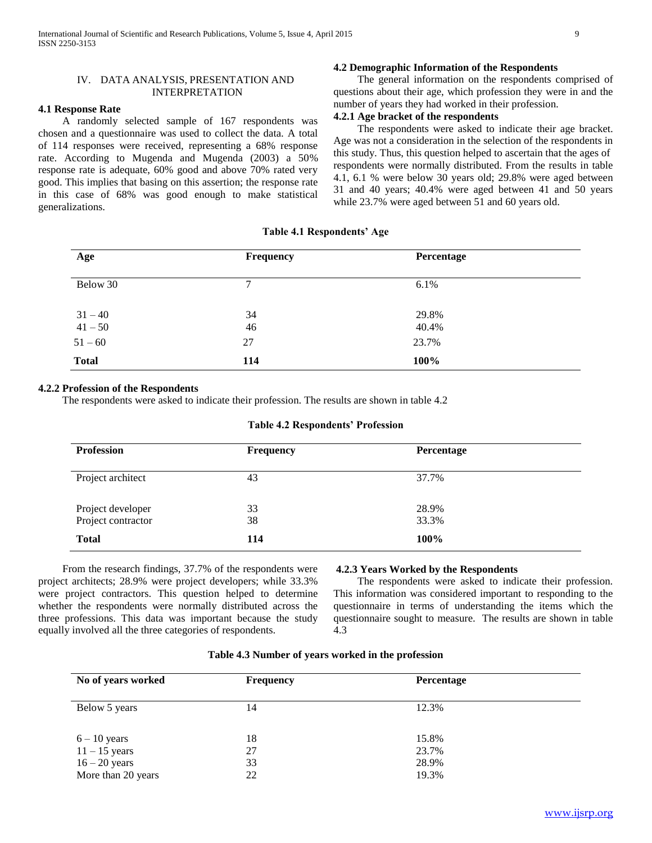#### IV. DATA ANALYSIS, PRESENTATION AND INTERPRETATION

#### **4.1 Response Rate**

 A randomly selected sample of 167 respondents was chosen and a questionnaire was used to collect the data. A total of 114 responses were received, representing a 68% response rate. According to Mugenda and Mugenda (2003) a 50% response rate is adequate, 60% good and above 70% rated very good. This implies that basing on this assertion; the response rate in this case of 68% was good enough to make statistical generalizations.

## **4.2 Demographic Information of the Respondents**

 The general information on the respondents comprised of questions about their age, which profession they were in and the number of years they had worked in their profession.

# **4.2.1 Age bracket of the respondents**

 The respondents were asked to indicate their age bracket. Age was not a consideration in the selection of the respondents in this study. Thus, this question helped to ascertain that the ages of respondents were normally distributed. From the results in table 4.1, 6.1 % were below 30 years old; 29.8% were aged between 31 and 40 years; 40.4% were aged between 41 and 50 years while 23.7% were aged between 51 and 60 years old.

| Age                    | <b>Frequency</b> | Percentage     |
|------------------------|------------------|----------------|
| Below 30               | ⇁                | 6.1%           |
| $31 - 40$<br>$41 - 50$ | 34<br>46         | 29.8%<br>40.4% |
| $51 - 60$              | 27               | 23.7%          |
| <b>Total</b>           | 114              | 100%           |

#### **Table 4.1 Respondents' Age**

#### **4.2.2 Profession of the Respondents**

The respondents were asked to indicate their profession. The results are shown in table 4.2

#### **Table 4.2 Respondents' Profession**

| <b>Profession</b>                       | <b>Frequency</b> | Percentage     |
|-----------------------------------------|------------------|----------------|
| Project architect                       | 43               | 37.7%          |
| Project developer<br>Project contractor | 33<br>38         | 28.9%<br>33.3% |
| <b>Total</b>                            | 114              | 100%           |

 From the research findings, 37.7% of the respondents were project architects; 28.9% were project developers; while 33.3% were project contractors. This question helped to determine whether the respondents were normally distributed across the three professions. This data was important because the study equally involved all the three categories of respondents.

#### **4.2.3 Years Worked by the Respondents**

 The respondents were asked to indicate their profession. This information was considered important to responding to the questionnaire in terms of understanding the items which the questionnaire sought to measure. The results are shown in table 4.3

| No of years worked | <b>Frequency</b> | Percentage |  |
|--------------------|------------------|------------|--|
| Below 5 years      | 14               | 12.3%      |  |
| $6 - 10$ years     | 18               | 15.8%      |  |
| $11 - 15$ years    | 27               | 23.7%      |  |
| $16 - 20$ years    | 33               | 28.9%      |  |
| More than 20 years | 22               | 19.3%      |  |

## **Table 4.3 Number of years worked in the profession**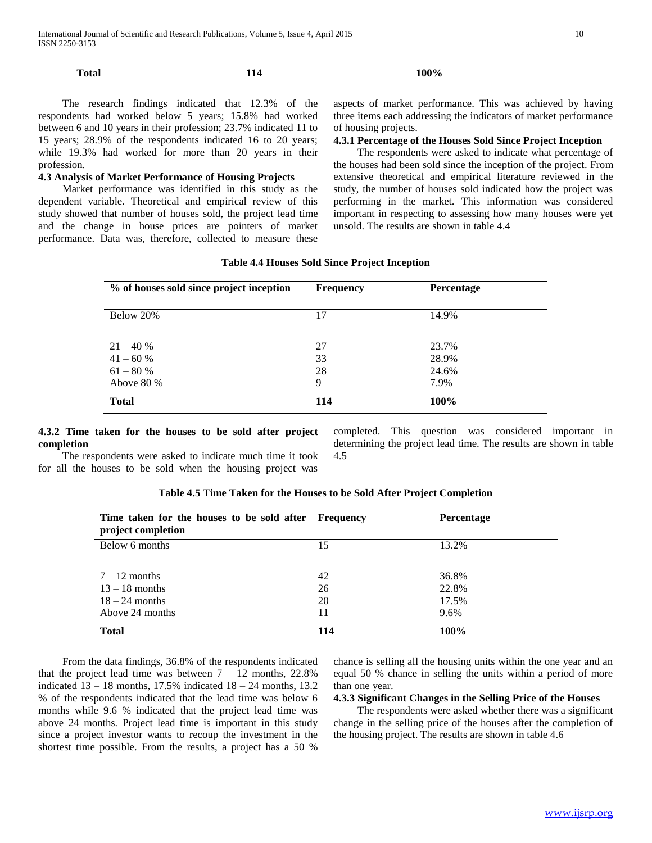| . | $\mathbf{a}\mathbf{a}$ |
|---|------------------------|
|   |                        |

 The research findings indicated that 12.3% of the respondents had worked below 5 years; 15.8% had worked between 6 and 10 years in their profession; 23.7% indicated 11 to 15 years; 28.9% of the respondents indicated 16 to 20 years; while 19.3% had worked for more than 20 years in their profession.

#### **4.3 Analysis of Market Performance of Housing Projects**

 Market performance was identified in this study as the dependent variable. Theoretical and empirical review of this study showed that number of houses sold, the project lead time and the change in house prices are pointers of market performance. Data was, therefore, collected to measure these

aspects of market performance. This was achieved by having three items each addressing the indicators of market performance of housing projects.

#### **4.3.1 Percentage of the Houses Sold Since Project Inception**

 The respondents were asked to indicate what percentage of the houses had been sold since the inception of the project. From extensive theoretical and empirical literature reviewed in the study, the number of houses sold indicated how the project was performing in the market. This information was considered important in respecting to assessing how many houses were yet unsold. The results are shown in table 4.4

| % of houses sold since project inception               | <b>Frequency</b>    | <b>Percentage</b>               |
|--------------------------------------------------------|---------------------|---------------------------------|
| Below 20%                                              | 17                  | 14.9%                           |
| $21 - 40%$<br>$41 - 60%$<br>$61 - 80%$<br>Above $80\%$ | 27<br>33<br>28<br>9 | 23.7%<br>28.9%<br>24.6%<br>7.9% |
| <b>Total</b>                                           | 114                 | 100%                            |

#### **Table 4.4 Houses Sold Since Project Inception**

## **4.3.2 Time taken for the houses to be sold after project completion**

 The respondents were asked to indicate much time it took for all the houses to be sold when the housing project was

completed. This question was considered important in determining the project lead time. The results are shown in table 4.5

| Table 4.5 Time Taken for the Houses to be Sold After Project Completion |  |  |  |
|-------------------------------------------------------------------------|--|--|--|
|-------------------------------------------------------------------------|--|--|--|

| Time taken for the houses to be sold after Frequency<br>project completion |     | Percentage |
|----------------------------------------------------------------------------|-----|------------|
| Below 6 months                                                             | 15  | 13.2%      |
| $7 - 12$ months                                                            | 42  | 36.8%      |
| $13 - 18$ months                                                           | 26  | 22.8%      |
| $18 - 24$ months                                                           | 20  | 17.5%      |
| Above 24 months                                                            | 11  | 9.6%       |
| <b>Total</b>                                                               | 114 | 100%       |

 From the data findings, 36.8% of the respondents indicated that the project lead time was between  $7 - 12$  months, 22.8% indicated  $13 - 18$  months,  $17.5\%$  indicated  $18 - 24$  months,  $13.2$ % of the respondents indicated that the lead time was below 6 months while 9.6 % indicated that the project lead time was above 24 months. Project lead time is important in this study since a project investor wants to recoup the investment in the shortest time possible. From the results, a project has a 50 %

chance is selling all the housing units within the one year and an equal 50 % chance in selling the units within a period of more than one year.

#### **4.3.3 Significant Changes in the Selling Price of the Houses**

 The respondents were asked whether there was a significant change in the selling price of the houses after the completion of the housing project. The results are shown in table 4.6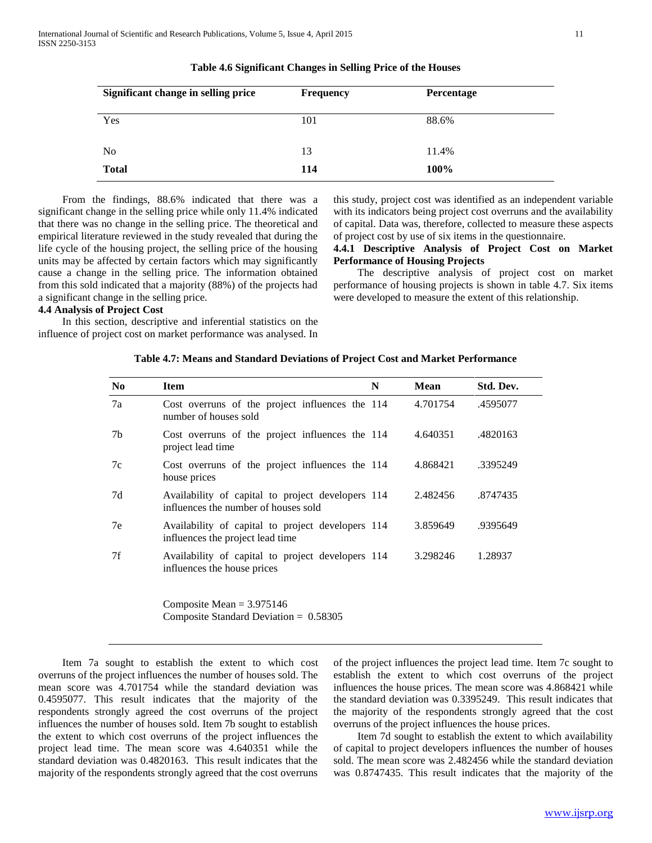| Significant change in selling price | <b>Frequency</b> | Percentage |
|-------------------------------------|------------------|------------|
| Yes                                 | 101              | 88.6%      |
| N <sub>0</sub>                      | 13               | 11.4%      |
| <b>Total</b>                        | 114              | 100%       |

|  |  | Table 4.6 Significant Changes in Selling Price of the Houses |
|--|--|--------------------------------------------------------------|
|  |  |                                                              |

 From the findings, 88.6% indicated that there was a significant change in the selling price while only 11.4% indicated that there was no change in the selling price. The theoretical and empirical literature reviewed in the study revealed that during the life cycle of the housing project, the selling price of the housing units may be affected by certain factors which may significantly cause a change in the selling price. The information obtained from this sold indicated that a majority (88%) of the projects had a significant change in the selling price.

this study, project cost was identified as an independent variable with its indicators being project cost overruns and the availability of capital. Data was, therefore, collected to measure these aspects of project cost by use of six items in the questionnaire.

## **4.4.1 Descriptive Analysis of Project Cost on Market Performance of Housing Projects**

 The descriptive analysis of project cost on market performance of housing projects is shown in table 4.7. Six items were developed to measure the extent of this relationship.

# **4.4 Analysis of Project Cost**

 In this section, descriptive and inferential statistics on the influence of project cost on market performance was analysed. In

| N <sub>0</sub> | N<br><b>Item</b>                                                                          | Mean     | Std. Dev. |  |
|----------------|-------------------------------------------------------------------------------------------|----------|-----------|--|
| 7a             | Cost overruns of the project influences the 114<br>number of houses sold                  | 4.701754 | .4595077  |  |
| 7b             | Cost overruns of the project influences the 114<br>project lead time                      | 4.640351 | .4820163  |  |
| 7c             | Cost overruns of the project influences the 114<br>house prices                           | 4.868421 | .3395249  |  |
| 7d             | Availability of capital to project developers 114<br>influences the number of houses sold | 2.482456 | .8747435  |  |
| 7e             | Availability of capital to project developers 114<br>influences the project lead time     | 3.859649 | .9395649  |  |
| 7f             | Availability of capital to project developers 114<br>influences the house prices          | 3.298246 | 1.28937   |  |
|                | Composite Mean $= 3.975146$                                                               |          |           |  |

**Table 4.7: Means and Standard Deviations of Project Cost and Market Performance**

 Item 7a sought to establish the extent to which cost overruns of the project influences the number of houses sold. The mean score was 4.701754 while the standard deviation was 0.4595077. This result indicates that the majority of the respondents strongly agreed the cost overruns of the project influences the number of houses sold. Item 7b sought to establish the extent to which cost overruns of the project influences the project lead time. The mean score was 4.640351 while the standard deviation was 0.4820163. This result indicates that the majority of the respondents strongly agreed that the cost overruns

Composite Standard Deviation = 0.58305

of the project influences the project lead time. Item 7c sought to establish the extent to which cost overruns of the project influences the house prices. The mean score was 4.868421 while the standard deviation was 0.3395249. This result indicates that the majority of the respondents strongly agreed that the cost overruns of the project influences the house prices.

 Item 7d sought to establish the extent to which availability of capital to project developers influences the number of houses sold. The mean score was 2.482456 while the standard deviation was 0.8747435. This result indicates that the majority of the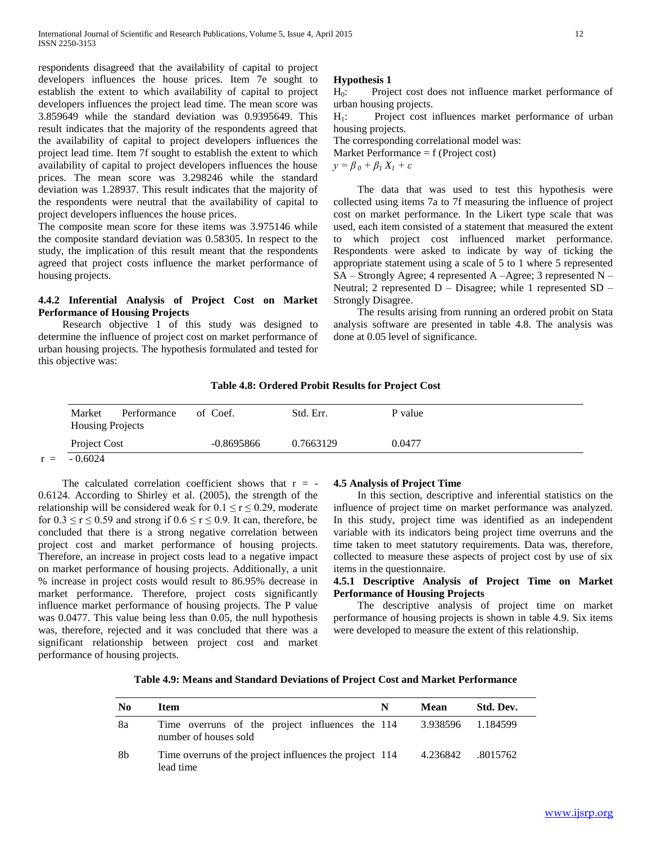respondents disagreed that the availability of capital to project developers influences the house prices. Item 7e sought to establish the extent to which availability of capital to project developers influences the project lead time. The mean score was 3.859649 while the standard deviation was 0.9395649. This result indicates that the majority of the respondents agreed that the availability of capital to project developers influences the project lead time. Item 7f sought to establish the extent to which availability of capital to project developers influences the house prices. The mean score was 3.298246 while the standard deviation was 1.28937. This result indicates that the majority of the respondents were neutral that the availability of capital to project developers influences the house prices.

The composite mean score for these items was 3.975146 while the composite standard deviation was 0.58305. In respect to the study, the implication of this result meant that the respondents agreed that project costs influence the market performance of housing projects.

#### **4.4.2 Inferential Analysis of Project Cost on Market Performance of Housing Projects**

 Research objective 1 of this study was designed to determine the influence of project cost on market performance of urban housing projects. The hypothesis formulated and tested for this objective was:

# **Hypothesis 1**

H0: Project cost does not influence market performance of urban housing projects.

H<sub>1</sub>: Project cost influences market performance of urban housing projects.

The corresponding correlational model was:

Market Performance = f (Project cost)

*y* =  $β$ <sub>0</sub> +  $β$ <sub>*I*</sub>  $X$ <sub>*I*</sub> +  $ε$ 

 The data that was used to test this hypothesis were collected using items 7a to 7f measuring the influence of project cost on market performance. In the Likert type scale that was used, each item consisted of a statement that measured the extent to which project cost influenced market performance. Respondents were asked to indicate by way of ticking the appropriate statement using a scale of 5 to 1 where 5 represented SA – Strongly Agree; 4 represented A –Agree; 3 represented N – Neutral; 2 represented D – Disagree; while 1 represented SD – Strongly Disagree.

 The results arising from running an ordered probit on Stata analysis software are presented in table 4.8. The analysis was done at 0.05 level of significance.

## **Table 4.8: Ordered Probit Results for Project Cost**

| Market<br>Performance<br><b>Housing Projects</b> | of Coef.     | Std. Err. | P value |
|--------------------------------------------------|--------------|-----------|---------|
| Project Cost                                     | $-0.8695866$ | 0.7663129 | 0.0477  |
| $-0.6024$                                        |              |           |         |

The calculated correlation coefficient shows that  $r = -$ 0.6124. According to Shirley et al. (2005), the strength of the relationship will be considered weak for  $0.1 \le r \le 0.29$ , moderate for  $0.3 \le r \le 0.59$  and strong if  $0.6 \le r \le 0.9$ . It can, therefore, be concluded that there is a strong negative correlation between project cost and market performance of housing projects. Therefore, an increase in project costs lead to a negative impact on market performance of housing projects. Additionally, a unit % increase in project costs would result to 86.95% decrease in market performance. Therefore, project costs significantly influence market performance of housing projects. The P value was 0.0477. This value being less than 0.05, the null hypothesis was, therefore, rejected and it was concluded that there was a significant relationship between project cost and market performance of housing projects.

## **4.5 Analysis of Project Time**

 In this section, descriptive and inferential statistics on the influence of project time on market performance was analyzed. In this study, project time was identified as an independent variable with its indicators being project time overruns and the time taken to meet statutory requirements. Data was, therefore, collected to measure these aspects of project cost by use of six items in the questionnaire.

## **4.5.1 Descriptive Analysis of Project Time on Market Performance of Housing Projects**

 The descriptive analysis of project time on market performance of housing projects is shown in table 4.9. Six items were developed to measure the extent of this relationship.

| No | Item                                                                     | N | Mean              | Std. Dev. |
|----|--------------------------------------------------------------------------|---|-------------------|-----------|
| 8a | Time overruns of the project influences the 114<br>number of houses sold |   | 3.938596 1.184599 |           |
| 8b | Time overruns of the project influences the project 114<br>lead time     |   | 4.236842 .8015762 |           |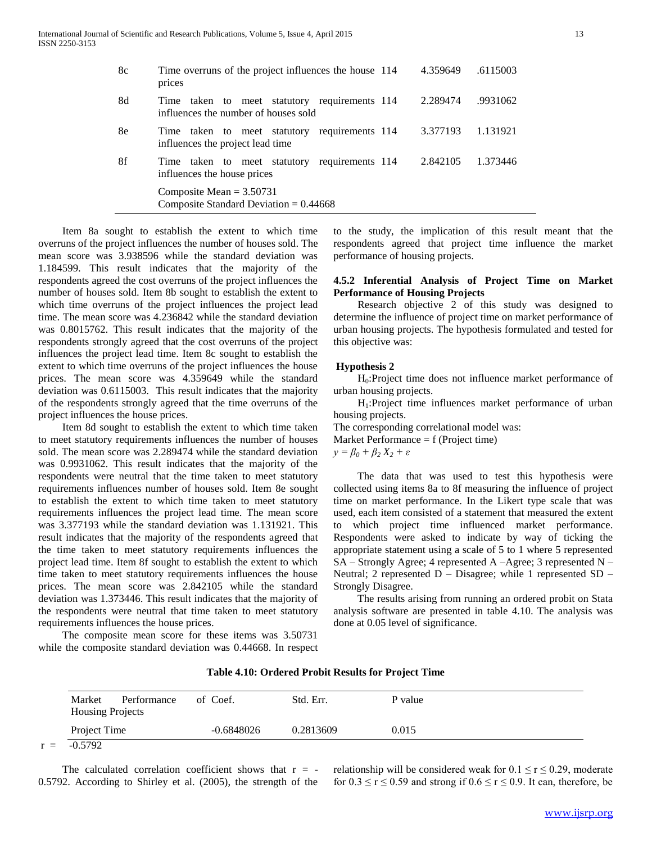| 8c | Time overruns of the project influences the house 114<br>prices                       |  | 4.359649 | .6115003 |
|----|---------------------------------------------------------------------------------------|--|----------|----------|
| 8d | Time taken to meet statutory requirements 114<br>influences the number of houses sold |  | 2.289474 | .9931062 |
| 8e | Time taken to meet statutory requirements 114<br>influences the project lead time     |  | 3.377193 | 1.131921 |
| 8f | Time taken to meet statutory requirements 114<br>influences the house prices          |  | 2.842105 | 1.373446 |
|    | Composite Mean $= 3.50731$<br>Composite Standard Deviation $= 0.44668$                |  |          |          |

 Item 8a sought to establish the extent to which time overruns of the project influences the number of houses sold. The mean score was 3.938596 while the standard deviation was 1.184599. This result indicates that the majority of the respondents agreed the cost overruns of the project influences the number of houses sold. Item 8b sought to establish the extent to which time overruns of the project influences the project lead time. The mean score was 4.236842 while the standard deviation was 0.8015762. This result indicates that the majority of the respondents strongly agreed that the cost overruns of the project influences the project lead time. Item 8c sought to establish the extent to which time overruns of the project influences the house prices. The mean score was 4.359649 while the standard deviation was 0.6115003. This result indicates that the majority of the respondents strongly agreed that the time overruns of the project influences the house prices.

 Item 8d sought to establish the extent to which time taken to meet statutory requirements influences the number of houses sold. The mean score was 2.289474 while the standard deviation was 0.9931062. This result indicates that the majority of the respondents were neutral that the time taken to meet statutory requirements influences number of houses sold. Item 8e sought to establish the extent to which time taken to meet statutory requirements influences the project lead time. The mean score was 3.377193 while the standard deviation was 1.131921. This result indicates that the majority of the respondents agreed that the time taken to meet statutory requirements influences the project lead time. Item 8f sought to establish the extent to which time taken to meet statutory requirements influences the house prices. The mean score was 2.842105 while the standard deviation was 1.373446. This result indicates that the majority of the respondents were neutral that time taken to meet statutory requirements influences the house prices.

 The composite mean score for these items was 3.50731 while the composite standard deviation was 0.44668. In respect to the study, the implication of this result meant that the respondents agreed that project time influence the market performance of housing projects.

#### **4.5.2 Inferential Analysis of Project Time on Market Performance of Housing Projects**

 Research objective 2 of this study was designed to determine the influence of project time on market performance of urban housing projects. The hypothesis formulated and tested for this objective was:

#### **Hypothesis 2**

 $H<sub>0</sub>$ :Project time does not influence market performance of urban housing projects.

 H1:Project time influences market performance of urban housing projects.

The corresponding correlational model was:

Market Performance = f (Project time)

*y* =  $β_0 + β_2 X_2 + ε$ 

 The data that was used to test this hypothesis were collected using items 8a to 8f measuring the influence of project time on market performance. In the Likert type scale that was used, each item consisted of a statement that measured the extent to which project time influenced market performance. Respondents were asked to indicate by way of ticking the appropriate statement using a scale of 5 to 1 where 5 represented SA – Strongly Agree; 4 represented A –Agree; 3 represented N – Neutral; 2 represented D – Disagree; while 1 represented SD – Strongly Disagree.

 The results arising from running an ordered probit on Stata analysis software are presented in table 4.10. The analysis was done at 0.05 level of significance.

| Market<br>Performance<br><b>Housing Projects</b> | of Coef.     | Std. Err. | P value |
|--------------------------------------------------|--------------|-----------|---------|
| Project Time                                     | $-0.6848026$ | 0.2813609 | 0.015   |
| $-0.5792$                                        |              |           |         |

**Table 4.10: Ordered Probit Results for Project Time**

The calculated correlation coefficient shows that  $r = -$ 0.5792. According to Shirley et al. (2005), the strength of the relationship will be considered weak for  $0.1 \le r \le 0.29$ , moderate for  $0.3 \le r \le 0.59$  and strong if  $0.6 \le r \le 0.9$ . It can, therefore, be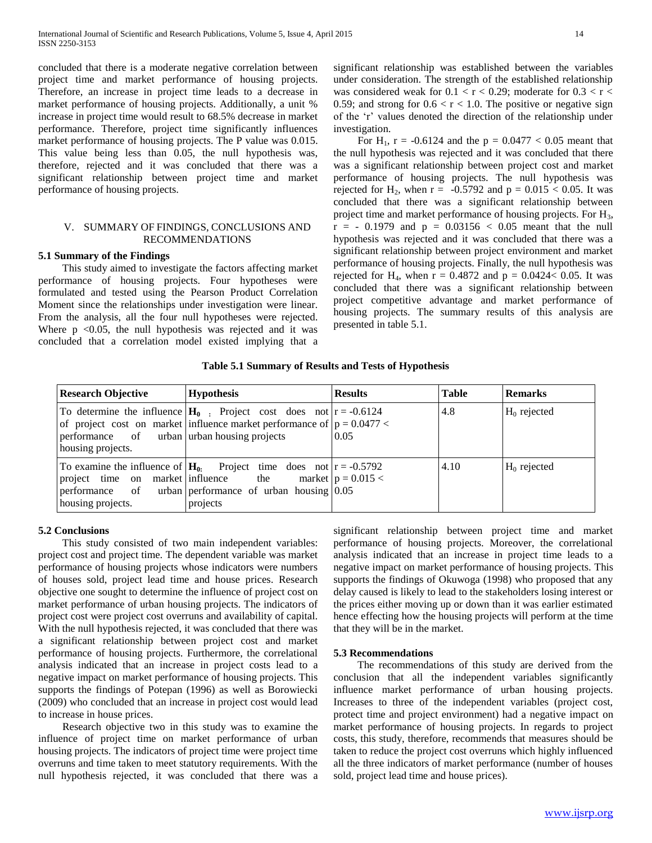concluded that there is a moderate negative correlation between project time and market performance of housing projects. Therefore, an increase in project time leads to a decrease in market performance of housing projects. Additionally, a unit % increase in project time would result to 68.5% decrease in market performance. Therefore, project time significantly influences market performance of housing projects. The P value was 0.015. This value being less than 0.05, the null hypothesis was, therefore, rejected and it was concluded that there was a significant relationship between project time and market performance of housing projects.

#### V. SUMMARY OF FINDINGS, CONCLUSIONS AND RECOMMENDATIONS

#### **5.1 Summary of the Findings**

 This study aimed to investigate the factors affecting market performance of housing projects. Four hypotheses were formulated and tested using the Pearson Product Correlation Moment since the relationships under investigation were linear. From the analysis, all the four null hypotheses were rejected. Where  $p \le 0.05$ , the null hypothesis was rejected and it was concluded that a correlation model existed implying that a significant relationship was established between the variables under consideration. The strength of the established relationship was considered weak for  $0.1 < r < 0.29$ ; moderate for  $0.3 < r <$ 0.59; and strong for  $0.6 < r < 1.0$ . The positive or negative sign of the 'r' values denoted the direction of the relationship under investigation.

For H<sub>1</sub>, r = -0.6124 and the p =  $0.0477 < 0.05$  meant that the null hypothesis was rejected and it was concluded that there was a significant relationship between project cost and market performance of housing projects. The null hypothesis was rejected for H<sub>2</sub>, when r = -0.5792 and p =  $0.015 < 0.05$ . It was concluded that there was a significant relationship between project time and market performance of housing projects. For H<sub>3</sub>,  $r = -0.1979$  and  $p = 0.03156 < 0.05$  meant that the null hypothesis was rejected and it was concluded that there was a significant relationship between project environment and market performance of housing projects. Finally, the null hypothesis was rejected for H<sub>4</sub>, when  $r = 0.4872$  and  $p = 0.0424 < 0.05$ . It was concluded that there was a significant relationship between project competitive advantage and market performance of housing projects. The summary results of this analysis are presented in table 5.1.

| <b>Research Objective</b>                                        | <b>Hypothesis</b>                                                                                                                                  | <b>Results</b>       | <b>Table</b> | <b>Remarks</b> |
|------------------------------------------------------------------|----------------------------------------------------------------------------------------------------------------------------------------------------|----------------------|--------------|----------------|
| performance of urban urban housing projects<br>housing projects. | To determine the influence $H_0$ . Project cost does not $r = -0.6124$<br>of project cost on market influence market performance of $p = 0.0477 <$ | 0.05                 | 4.8          | $H_0$ rejected |
| project time on market influence the<br>housing projects.        | To examine the influence of $H_0$ . Project time does not $r = -0.5792$<br>performance of urban performance of urban housing $0.05$<br>projects    | market $p = 0.015$ < | 4.10         | $H_0$ rejected |

#### **Table 5.1 Summary of Results and Tests of Hypothesis**

#### **5.2 Conclusions**

 This study consisted of two main independent variables: project cost and project time. The dependent variable was market performance of housing projects whose indicators were numbers of houses sold, project lead time and house prices. Research objective one sought to determine the influence of project cost on market performance of urban housing projects. The indicators of project cost were project cost overruns and availability of capital. With the null hypothesis rejected, it was concluded that there was a significant relationship between project cost and market performance of housing projects. Furthermore, the correlational analysis indicated that an increase in project costs lead to a negative impact on market performance of housing projects. This supports the findings of Potepan (1996) as well as Borowiecki (2009) who concluded that an increase in project cost would lead to increase in house prices.

 Research objective two in this study was to examine the influence of project time on market performance of urban housing projects. The indicators of project time were project time overruns and time taken to meet statutory requirements. With the null hypothesis rejected, it was concluded that there was a significant relationship between project time and market performance of housing projects. Moreover, the correlational analysis indicated that an increase in project time leads to a negative impact on market performance of housing projects. This supports the findings of Okuwoga (1998) who proposed that any delay caused is likely to lead to the stakeholders losing interest or the prices either moving up or down than it was earlier estimated hence effecting how the housing projects will perform at the time that they will be in the market.

#### **5.3 Recommendations**

 The recommendations of this study are derived from the conclusion that all the independent variables significantly influence market performance of urban housing projects. Increases to three of the independent variables (project cost, protect time and project environment) had a negative impact on market performance of housing projects. In regards to project costs, this study, therefore, recommends that measures should be taken to reduce the project cost overruns which highly influenced all the three indicators of market performance (number of houses sold, project lead time and house prices).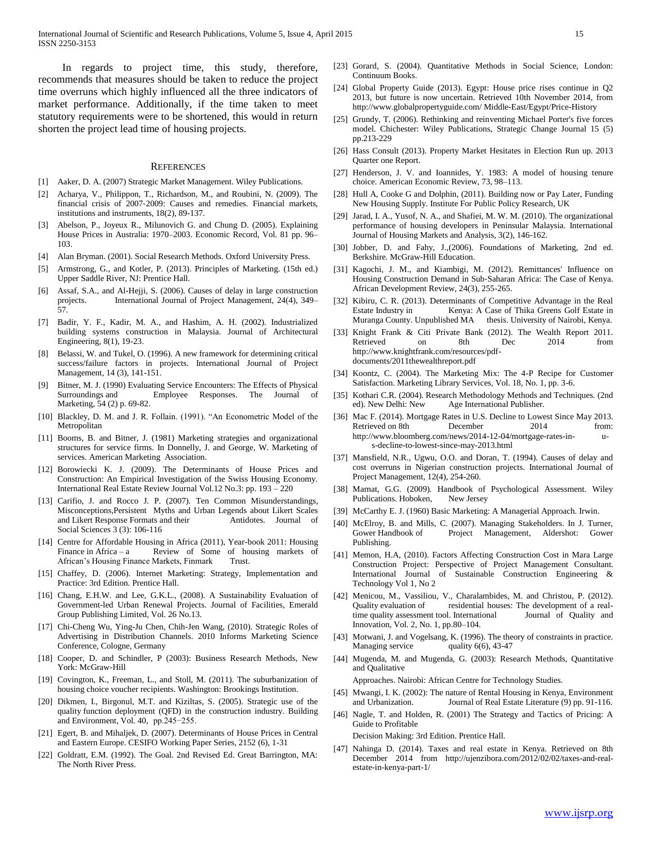In regards to project time, this study, therefore, recommends that measures should be taken to reduce the project time overruns which highly influenced all the three indicators of market performance. Additionally, if the time taken to meet statutory requirements were to be shortened, this would in return shorten the project lead time of housing projects.

#### **REFERENCES**

- [1] Aaker, D. A. (2007) Strategic Market Management. Wiley Publications.
- [2] Acharya, V., Philippon, T., Richardson, M., and Roubini, N. (2009). The financial crisis of 2007‐2009: Causes and remedies. Financial markets, institutions and instruments, 18(2), 89-137.
- [3] Abelson, P., Joyeux R., Milunovich G. and Chung D. (2005). Explaining House Prices in Australia: 1970–2003. Economic Record, Vol. 81 pp. 96– 103.
- [4] Alan Bryman. (2001). Social Research Methods. Oxford University Press.
- [5] Armstrong, G., and Kotler, P. (2013). Principles of Marketing. (15th ed.) Upper Saddle River, NJ: Prentice Hall.
- [6] Assaf, S.A., and Al-Hejji, S. (2006). Causes of delay in large construction projects. International Journal of Project Management, 24(4), 349– 57.
- [7] Badir, Y. F., Kadir, M. A., and Hashim, A. H. (2002). Industrialized building systems construction in Malaysia. Journal of Architectural Engineering, 8(1), 19-23.
- [8] Belassi, W. and Tukel, O. (1996). A new framework for determining critical success/failure factors in projects. International Journal of Project Management, 14 (3), 141-151.
- [9] Bitner, M. J. (1990) Evaluating Service Encounters: The Effects of Physical Surroundings and Employee Responses. The Journal of Marketing, 54 (2) p. 69-82.
- [10] Blackley, D. M. and J. R. Follain. (1991). "An Econometric Model of the Metropolitan
- [11] Booms, B. and Bitner, J. (1981) Marketing strategies and organizational structures for service firms. In Donnelly, J. and George, W. Marketing of services. American Marketing Association.
- [12] Borowiecki K. J. (2009). The Determinants of House Prices and Construction: An Empirical Investigation of the Swiss Housing Economy. International Real Estate Review Journal Vol.12 No.3: pp. 193 – 220
- [13] Carifio, J. and Rocco J. P. (2007). Ten Common Misunderstandings, Misconceptions,Persistent Myths and Urban Legends about Likert Scales and Likert Response Formats and their Antidotes. Journal of Social Sciences 3 (3): 106-116
- [14] Centre for Affordable Housing in Africa (2011), Year-book 2011: Housing Finance in Africa – a Review of Some of housing markets of African's Housing Finance Markets, Finmark Trust.
- [15] Chaffey, D. (2006). Internet Marketing: Strategy, Implementation and Practice: 3rd Edition. Prentice Hall.
- [16] Chang, E.H.W. and Lee, G.K.L., (2008). A Sustainability Evaluation of Government-led Urban Renewal Projects. Journal of Facilities, Emerald Group Publishing Limited, Vol. 26 No.13.
- [17] Chi-Cheng Wu, Ying-Ju Chen, Chih-Jen Wang, (2010). Strategic Roles of Advertising in Distribution Channels. 2010 Informs Marketing Science Conference, Cologne, Germany
- [18] Cooper, D. and Schindler, P (2003): Business Research Methods, New York: McGraw-Hill
- [19] Covington, K., Freeman, L., and Stoll, M. (2011). The suburbanization of housing choice voucher recipients. Washington: Brookings Institution.
- [20] Dikmen, I., Birgonul, M.T. and Kiziltas, S. (2005). Strategic use of the quality function deployment (QFD) in the construction industry. Building and Environment, Vol. 40, pp.245−255.
- [21] Egert, B. and Mihaljek, D. (2007). Determinants of House Prices in Central and Eastern Europe. CESIFO Working Paper Series, 2152 (6), 1-31
- [22] Goldratt, E.M. (1992). The Goal. 2nd Revised Ed. Great Barrington, MA: The North River Press.
- [23] Gorard, S. (2004). Quantitative Methods in Social Science, London: Continuum Books.
- [24] Global Property Guide (2013). Egypt: House price rises continue in Q2 2013, but future is now uncertain. Retrieved 10th November 2014, from http://www.globalpropertyguide.com/ Middle-East/Egypt/Price-History
- [25] Grundy, T. (2006). Rethinking and reinventing Michael Porter's five forces model. Chichester: Wiley Publications, Strategic Change Journal 15 (5) pp.213-229
- [26] Hass Consult (2013). Property Market Hesitates in Election Run up. 2013 Quarter one Report.
- [27] Henderson, J. V. and Ioannides, Y. 1983: A model of housing tenure choice. American Economic Review, 73, 98–113.
- [28] Hull A, Cooke G and Dolphin, (2011). Building now or Pay Later, Funding New Housing Supply. Institute For Public Policy Research, UK
- [29] Jarad, I. A., Yusof, N. A., and Shafiei, M. W. M. (2010). The organizational performance of housing developers in Peninsular Malaysia. International Journal of Housing Markets and Analysis, 3(2), 146-162.
- [30] Jobber, D. and Fahy, J.,(2006). Foundations of Marketing, 2nd ed. Berkshire. McGraw-Hill Education.
- [31] Kagochi, J. M., and Kiambigi, M. (2012). Remittances' Influence on Housing Construction Demand in Sub‐Saharan Africa: The Case of Kenya. African Development Review, 24(3), 255-265.
- [32] Kibiru, C. R. (2013). Determinants of Competitive Advantage in the Real Estate Industry in Kenya: A Case of Thika Greens Golf Estate in Muranga County. Unpublished MA thesis. University of Nairobi, Kenya.
- [33] Knight Frank & Citi Private Bank (2012). The Wealth Report 2011. Retrieved on 8th Dec 2014 from http://www.knightfrank.com/resources/pdfdocuments/2011thewealthreport.pdf
- [34] Koontz, C. (2004). The Marketing Mix: The 4-P Recipe for Customer Satisfaction. Marketing Library Services, Vol. 18, No. 1, pp. 3-6.
- [35] Kothari C.R. (2004). Research Methodology Methods and Techniques. (2nd ed). New Delhi: New Age International Publisher.
- [36] Mac F. (2014). Mortgage Rates in U.S. Decline to Lowest Since May 2013. Retrieved on 8th December 2014 from: http://www.bloomberg.com/news/2014-12-04/mortgage-rates-in- us-decline-to-lowest-since-may-2013.html
- [37] Mansfield, N.R., Ugwu, O.O. and Doran, T. (1994). Causes of delay and cost overruns in Nigerian construction projects. International Journal of Project Management, 12(4), 254-260.
- [38] Marnat, G.G. (2009). Handbook of Psychological Assessment. Wiley Publications. Hoboken, New Jersey
- [39] McCarthy E. J. (1960) Basic Marketing: A Managerial Approach. Irwin.
- [40] McElroy, B. and Mills, C. (2007). Managing Stakeholders. In J. Turner, Gower Handbook of Project Management, Aldershot: Gower Publishing.
- [41] Memon, H.A, (2010). Factors Affecting Construction Cost in Mara Large Construction Project: Perspective of Project Management Consultant. International Journal of Sustainable Construction Engineering & Technology Vol 1, No 2
- [42] Menicou, M., Vassiliou, V., Charalambides, M. and Christou, P. (2012). Quality evaluation of residential houses: The development of a realtime quality assessment tool. International Journal of Quality and Innovation, Vol. 2, No. 1, pp.80–104.
- [43] Motwani, J. and Vogelsang, K. (1996). The theory of constraints in practice. Managing service quality 6(6), 43-47
- [44] Mugenda, M. and Mugenda, G. (2003): Research Methods, Quantitative and Qualitative

Approaches. Nairobi: African Centre for Technology Studies.

- [45] Mwangi, I. K. (2002): The nature of Rental Housing in Kenya, Environment and Urbanization. Journal of Real Estate Literature (9) pp. 91-116.
- [46] Nagle, T. and Holden, R. (2001) The Strategy and Tactics of Pricing: A Guide to Profitable

Decision Making: 3rd Edition. Prentice Hall.

[47] Nahinga D. (2014). Taxes and real estate in Kenya. Retrieved on 8th December 2014 from http://ujenzibora.com/2012/02/02/taxes-and-realestate-in-kenya-part-1/